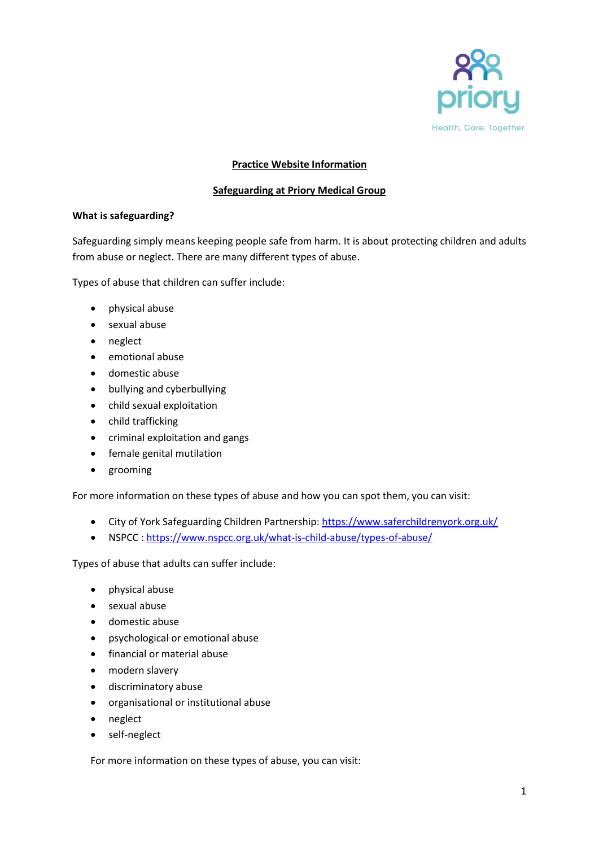

## **Practice Website Information**

#### **Safeguarding at Priory Medical Group**

#### **What is safeguarding?**

Safeguarding simply means keeping people safe from harm. It is about protecting children and adults from abuse or neglect. There are many different types of abuse.

Types of abuse that children can suffer include:

- physical abuse
- sexual abuse
- neglect
- emotional abuse
- domestic abuse
- bullying and cyberbullying
- child sexual exploitation
- child trafficking
- criminal exploitation and gangs
- **•** female genital mutilation
- grooming

For more information on these types of abuse and how you can spot them, you can visit:

- City of York Safeguarding Children Partnership:<https://www.saferchildrenyork.org.uk/>
- NSPCC : <https://www.nspcc.org.uk/what-is-child-abuse/types-of-abuse/>

Types of abuse that adults can suffer include:

- physical abuse
- sexual abuse
- domestic abuse
- psychological or emotional abuse
- financial or material abuse
- modern slavery
- discriminatory abuse
- organisational or institutional abuse
- neglect
- self-neglect

For more information on these types of abuse, you can visit: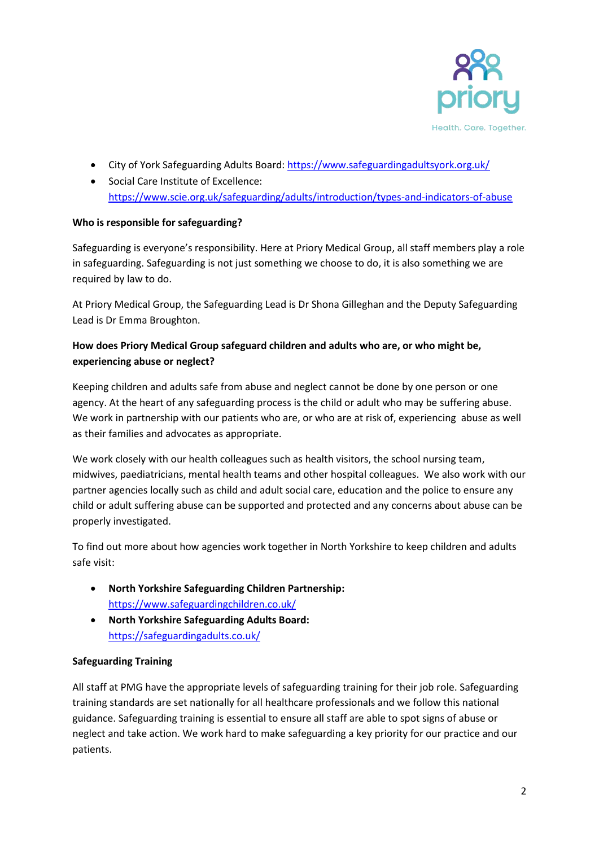

- City of York Safeguarding Adults Board[: https://www.safeguardingadultsyork.org.uk/](https://www.safeguardingadultsyork.org.uk/)
- Social Care Institute of Excellence: <https://www.scie.org.uk/safeguarding/adults/introduction/types-and-indicators-of-abuse>

# **Who is responsible for safeguarding?**

Safeguarding is everyone's responsibility. Here at Priory Medical Group, all staff members play a role in safeguarding. Safeguarding is not just something we choose to do, it is also something we are required by law to do.

At Priory Medical Group, the Safeguarding Lead is Dr Shona Gilleghan and the Deputy Safeguarding Lead is Dr Emma Broughton.

# **How does Priory Medical Group safeguard children and adults who are, or who might be, experiencing abuse or neglect?**

Keeping children and adults safe from abuse and neglect cannot be done by one person or one agency. At the heart of any safeguarding process is the child or adult who may be suffering abuse. We work in partnership with our patients who are, or who are at risk of, experiencing abuse as well as their families and advocates as appropriate.

We work closely with our health colleagues such as health visitors, the school nursing team, midwives, paediatricians, mental health teams and other hospital colleagues. We also work with our partner agencies locally such as child and adult social care, education and the police to ensure any child or adult suffering abuse can be supported and protected and any concerns about abuse can be properly investigated.

To find out more about how agencies work together in North Yorkshire to keep children and adults safe visit:

- **North Yorkshire Safeguarding Children Partnership:** <https://www.safeguardingchildren.co.uk/>
- **North Yorkshire Safeguarding Adults Board:** <https://safeguardingadults.co.uk/>

# **Safeguarding Training**

All staff at PMG have the appropriate levels of safeguarding training for their job role. Safeguarding training standards are set nationally for all healthcare professionals and we follow this national guidance. Safeguarding training is essential to ensure all staff are able to spot signs of abuse or neglect and take action. We work hard to make safeguarding a key priority for our practice and our patients.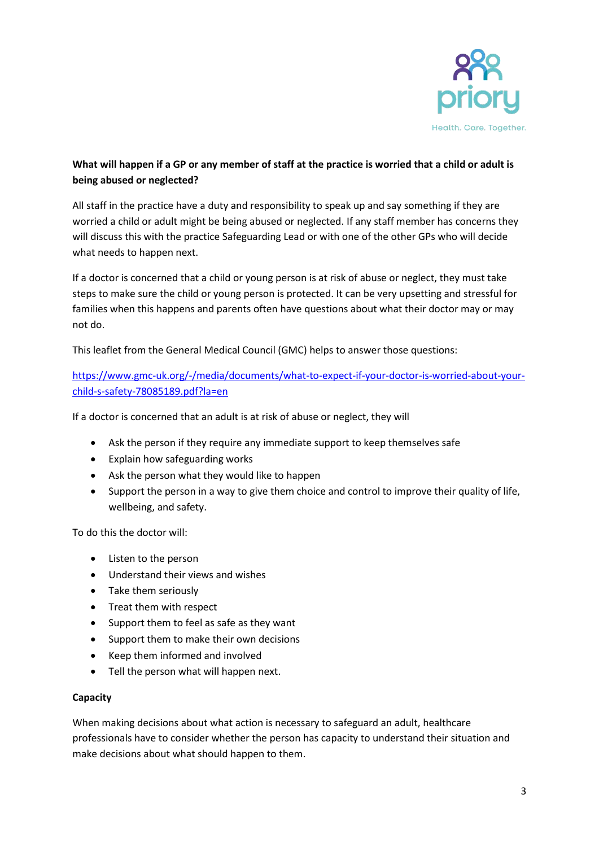

# **What will happen if a GP or any member of staff at the practice is worried that a child or adult is being abused or neglected?**

All staff in the practice have a duty and responsibility to speak up and say something if they are worried a child or adult might be being abused or neglected. If any staff member has concerns they will discuss this with the practice Safeguarding Lead or with one of the other GPs who will decide what needs to happen next.

If a doctor is concerned that a child or young person is at risk of abuse or neglect, they must take steps to make sure the child or young person is protected. It can be very upsetting and stressful for families when this happens and parents often have questions about what their doctor may or may not do.

This leaflet from the General Medical Council (GMC) helps to answer those questions:

[https://www.gmc-uk.org/-/media/documents/what-to-expect-if-your-doctor-is-worried-about-your](https://www.gmc-uk.org/-/media/documents/what-to-expect-if-your-doctor-is-worried-about-your-child-s-safety-78085189.pdf?la=en)[child-s-safety-78085189.pdf?la=en](https://www.gmc-uk.org/-/media/documents/what-to-expect-if-your-doctor-is-worried-about-your-child-s-safety-78085189.pdf?la=en)

If a doctor is concerned that an adult is at risk of abuse or neglect, they will

- Ask the person if they require any immediate support to keep themselves safe
- Explain how safeguarding works
- Ask the person what they would like to happen
- Support the person in a way to give them choice and control to improve their quality of life, wellbeing, and safety.

To do this the doctor will:

- Listen to the person
- Understand their views and wishes
- Take them seriously
- Treat them with respect
- Support them to feel as safe as they want
- Support them to make their own decisions
- Keep them informed and involved
- Tell the person what will happen next.

#### **Capacity**

When making decisions about what action is necessary to safeguard an adult, healthcare professionals have to consider whether the person has capacity to understand their situation and make decisions about what should happen to them.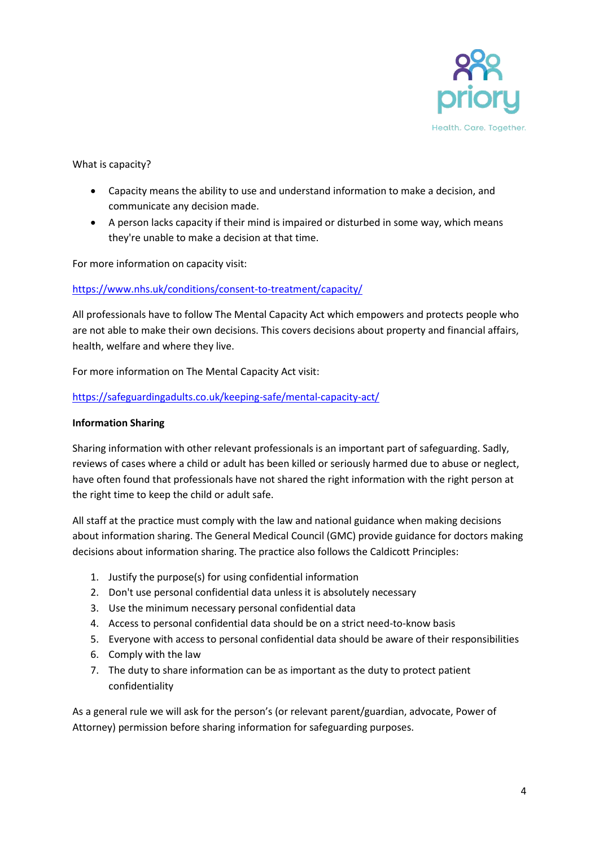

What is capacity?

- Capacity means the ability to use and understand information to make a decision, and communicate any decision made.
- A person lacks capacity if their mind is impaired or disturbed in some way, which means they're unable to make a decision at that time.

For more information on capacity visit:

## <https://www.nhs.uk/conditions/consent-to-treatment/capacity/>

All professionals have to follow The Mental Capacity Act which empowers and protects people who are not able to make their own decisions. This covers decisions about property and financial affairs, health, welfare and where they live.

For more information on The Mental Capacity Act visit:

## <https://safeguardingadults.co.uk/keeping-safe/mental-capacity-act/>

#### **Information Sharing**

Sharing information with other relevant professionals is an important part of safeguarding. Sadly, reviews of cases where a child or adult has been killed or seriously harmed due to abuse or neglect, have often found that professionals have not shared the right information with the right person at the right time to keep the child or adult safe.

All staff at the practice must comply with the law and national guidance when making decisions about information sharing. The General Medical Council (GMC) provide guidance for doctors making decisions about information sharing. The practice also follows the Caldicott Principles:

- 1. Justify the purpose(s) for using confidential information
- 2. Don't use personal confidential data unless it is absolutely necessary
- 3. Use the minimum necessary personal confidential data
- 4. Access to personal confidential data should be on a strict need-to-know basis
- 5. Everyone with access to personal confidential data should be aware of their responsibilities
- 6. Comply with the law
- 7. The duty to share information can be as important as the duty to protect patient confidentiality

As a general rule we will ask for the person's (or relevant parent/guardian, advocate, Power of Attorney) permission before sharing information for safeguarding purposes.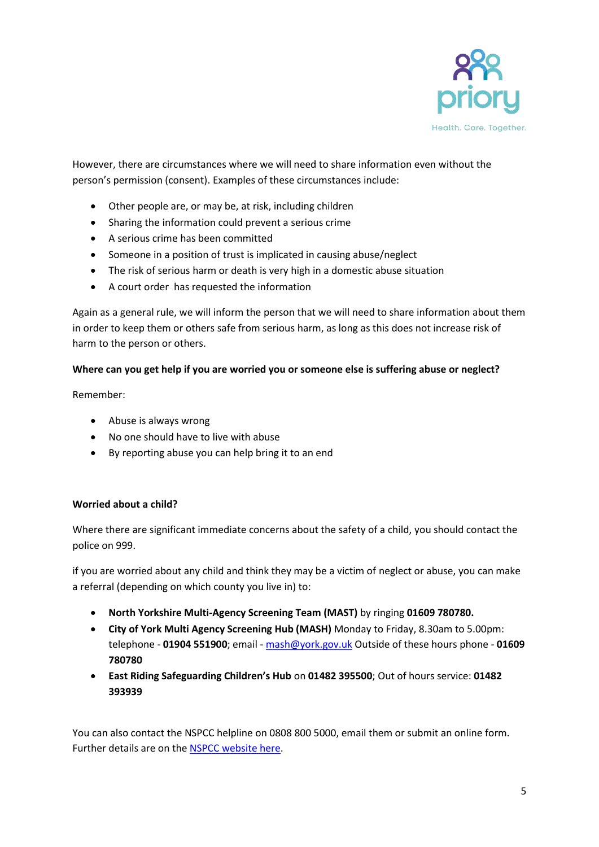

However, there are circumstances where we will need to share information even without the person's permission (consent). Examples of these circumstances include:

- Other people are, or may be, at risk, including children
- Sharing the information could prevent a serious crime
- A serious crime has been committed
- Someone in a position of trust is implicated in causing abuse/neglect
- The risk of serious harm or death is very high in a domestic abuse situation
- A court order has requested the information

Again as a general rule, we will inform the person that we will need to share information about them in order to keep them or others safe from serious harm, as long as this does not increase risk of harm to the person or others.

# **Where can you get help if you are worried you or someone else is suffering abuse or neglect?**

Remember:

- Abuse is always wrong
- No one should have to live with abuse
- By reporting abuse you can help bring it to an end

# **Worried about a child?**

Where there are significant immediate concerns about the safety of a child, you should contact the police on 999.

if you are worried about any child and think they may be a victim of neglect or abuse, you can make a referral (depending on which county you live in) to:

- **North Yorkshire Multi-Agency Screening Team (MAST)** by ringing **01609 780780.**
- **City of York Multi Agency Screening Hub (MASH)** Monday to Friday, 8.30am to 5.00pm: telephone - **01904 551900**; email - [mash@york.gov.uk](mailto:mash@york.gov.uk) Outside of these hours phone - **01609 780780**
- **East Riding Safeguarding Children's Hub** on **01482 395500**; Out of hours service: **01482 393939**

You can also contact the NSPCC helpline on 0808 800 5000, email them or submit an online form. Further details are on th[e NSPCC website here.](https://www.nspcc.org.uk/keeping-children-safe/our-services/nspcc-helpline/?gclsrc=aw.ds&ds_rl=1279303#contact/?source=ppc-brand&ds_rl=1279303&gclid=Cj0KCQjwqrb7BRDlARIsACwGad5B45JgL0v4uyK7taJoAeSVA8XgTt3zJKy0o0GZGwzwNoPl5ispxz0aAoGbEALw_wcB&gclsrc=aw.ds)